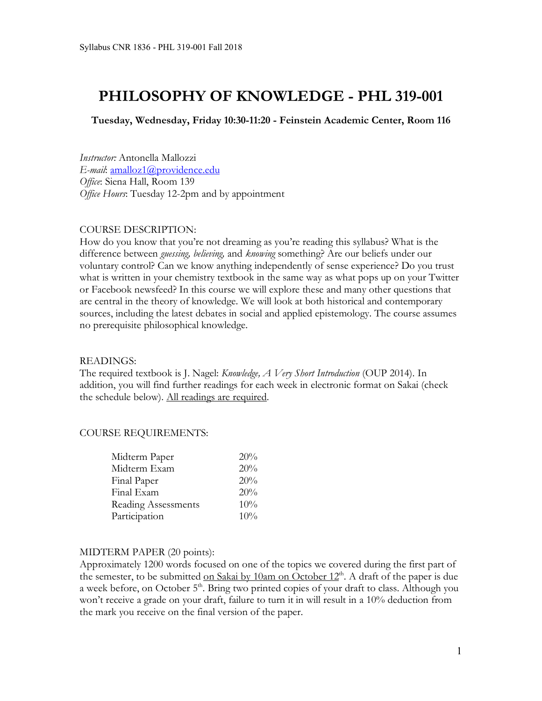# **PHILOSOPHY OF KNOWLEDGE - PHL 319-001**

**Tuesday, Wednesday, Friday 10:30-11:20 - Feinstein Academic Center, Room 116**

*Instructor:* Antonella Mallozzi *E-mail*: amalloz1@providence.edu *Office*: Siena Hall, Room 139 *Office Hours*: Tuesday 12-2pm and by appointment

#### COURSE DESCRIPTION:

How do you know that you're not dreaming as you're reading this syllabus? What is the difference between *guessing, believing,* and *knowing* something? Are our beliefs under our voluntary control? Can we know anything independently of sense experience? Do you trust what is written in your chemistry textbook in the same way as what pops up on your Twitter or Facebook newsfeed? In this course we will explore these and many other questions that are central in the theory of knowledge. We will look at both historical and contemporary sources, including the latest debates in social and applied epistemology. The course assumes no prerequisite philosophical knowledge.

#### READINGS:

The required textbook is J. Nagel: *Knowledge, A Very Short Introduction* (OUP 2014). In addition, you will find further readings for each week in electronic format on Sakai (check the schedule below). All readings are required.

#### COURSE REQUIREMENTS:

| Midterm Paper              | 20% |
|----------------------------|-----|
| Midterm Exam               | 20% |
| Final Paper                | 20% |
| Final Exam                 | 20% |
| <b>Reading Assessments</b> | 10% |
| Participation              | 10% |

#### MIDTERM PAPER (20 points):

Approximately 1200 words focused on one of the topics we covered during the first part of the semester, to be submitted on Sakai by 10am on October  $12<sup>th</sup>$ . A draft of the paper is due a week before, on October 5<sup>th</sup>. Bring two printed copies of your draft to class. Although you won't receive a grade on your draft, failure to turn it in will result in a 10% deduction from the mark you receive on the final version of the paper.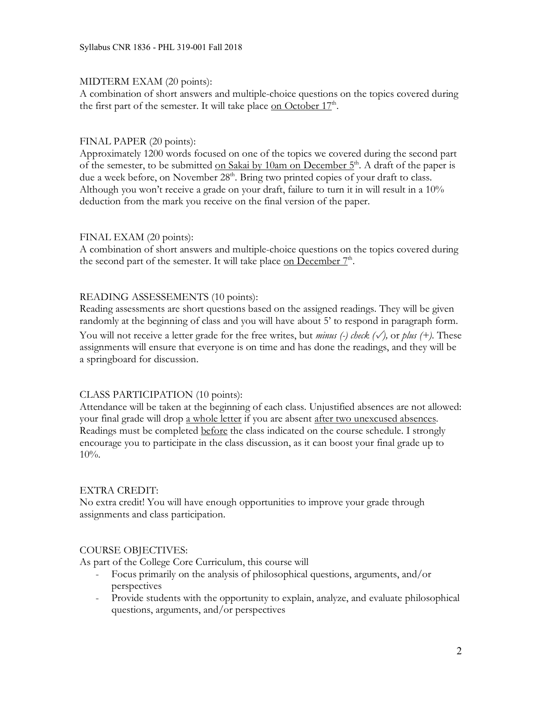## MIDTERM EXAM (20 points):

A combination of short answers and multiple-choice questions on the topics covered during the first part of the semester. It will take place on October  $17<sup>th</sup>$ .

## FINAL PAPER (20 points):

Approximately 1200 words focused on one of the topics we covered during the second part of the semester, to be submitted on Sakai by 10am on December  $5<sup>th</sup>$ . A draft of the paper is due a week before, on November 28<sup>th</sup>. Bring two printed copies of your draft to class. Although you won't receive a grade on your draft, failure to turn it in will result in a 10% deduction from the mark you receive on the final version of the paper.

## FINAL EXAM (20 points):

A combination of short answers and multiple-choice questions on the topics covered during the second part of the semester. It will take place on December  $7<sup>th</sup>$ .

## READING ASSESSEMENTS (10 points):

Reading assessments are short questions based on the assigned readings. They will be given randomly at the beginning of class and you will have about 5' to respond in paragraph form.

You will not receive a letter grade for the free writes, but *minus (-) check (*✓*),* or *plus (+).* These assignments will ensure that everyone is on time and has done the readings, and they will be a springboard for discussion.

# CLASS PARTICIPATION (10 points):

Attendance will be taken at the beginning of each class. Unjustified absences are not allowed: your final grade will drop a whole letter if you are absent after two unexcused absences. Readings must be completed before the class indicated on the course schedule. I strongly encourage you to participate in the class discussion, as it can boost your final grade up to 10%.

#### EXTRA CREDIT:

No extra credit! You will have enough opportunities to improve your grade through assignments and class participation.

# COURSE OBJECTIVES:

As part of the College Core Curriculum, this course will

- Focus primarily on the analysis of philosophical questions, arguments, and/or perspectives
- Provide students with the opportunity to explain, analyze, and evaluate philosophical questions, arguments, and/or perspectives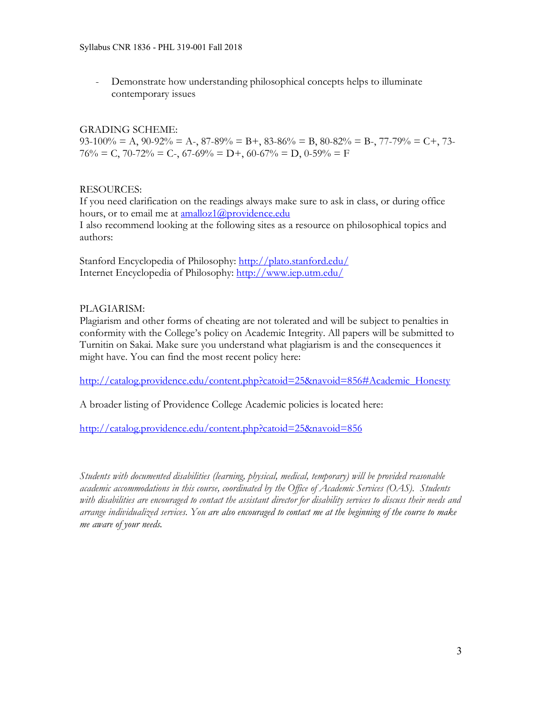- Demonstrate how understanding philosophical concepts helps to illuminate contemporary issues

# GRADING SCHEME:

 $93-100\% = A$ ,  $90-92\% = A$ -,  $87-89\% = B$ +,  $83-86\% = B$ ,  $80-82\% = B$ -,  $77-79\% = C$ +,  $73 76\% = C$ ,  $70-72\% = C$ -,  $67-69\% = D$ +,  $60-67\% = D$ ,  $0-59\% = F$ 

## RESOURCES:

If you need clarification on the readings always make sure to ask in class, or during office hours, or to email me at **amalloz1@providence.edu** 

I also recommend looking at the following sites as a resource on philosophical topics and authors:

Stanford Encyclopedia of Philosophy: http://plato.stanford.edu/ Internet Encyclopedia of Philosophy: http://www.iep.utm.edu/

# PLAGIARISM:

Plagiarism and other forms of cheating are not tolerated and will be subject to penalties in conformity with the College's policy on Academic Integrity. All papers will be submitted to Turnitin on Sakai. Make sure you understand what plagiarism is and the consequences it might have. You can find the most recent policy here:

http://catalog.providence.edu/content.php?catoid=25&navoid=856#Academic\_Honesty

A broader listing of Providence College Academic policies is located here:

http://catalog.providence.edu/content.php?catoid=25&navoid=856

*Students with documented disabilities (learning, physical, medical, temporary) will be provided reasonable academic accommodations in this course, coordinated by the Office of Academic Services (OAS). Students with disabilities are encouraged to contact the assistant director for disability services to discuss their needs and arrange individualized services. You are also encouraged to contact me at the beginning of the course to make me aware of your needs.*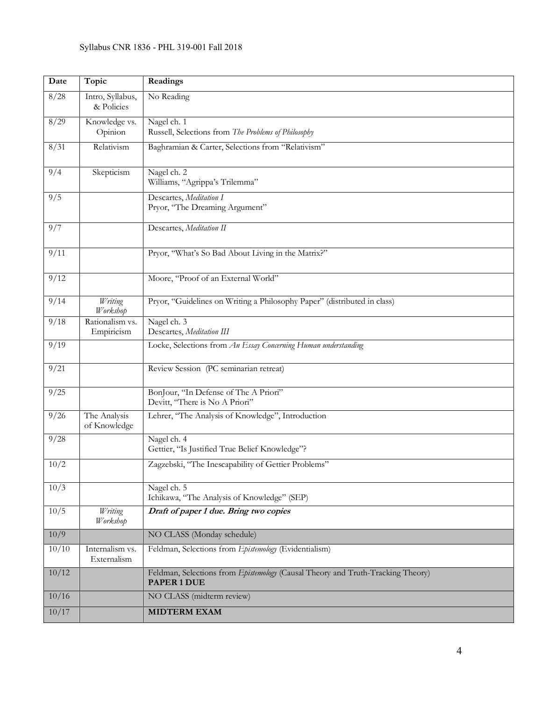| Date  | Topic                          | Readings                                                                                       |
|-------|--------------------------------|------------------------------------------------------------------------------------------------|
| 8/28  | Intro, Syllabus,<br>& Policies | No Reading                                                                                     |
| 8/29  | Knowledge vs.<br>Opinion       | Nagel ch. 1<br>Russell, Selections from The Problems of Philosophy                             |
| 8/31  | Relativism                     | Baghramian & Carter, Selections from "Relativism"                                              |
| 9/4   | Skepticism                     | Nagel ch. 2<br>Williams, "Agrippa's Trilemma"                                                  |
| 9/5   |                                | Descartes, Meditation I<br>Pryor, "The Dreaming Argument"                                      |
| 9/7   |                                | Descartes, Meditation II                                                                       |
| 9/11  |                                | Pryor, "What's So Bad About Living in the Matrix?"                                             |
| 9/12  |                                | Moore, "Proof of an External World"                                                            |
| 9/14  | Writing<br>Workshop            | Pryor, "Guidelines on Writing a Philosophy Paper" (distributed in class)                       |
| 9/18  | Rationalism vs.<br>Empiricism  | Nagel ch. 3<br>Descartes, Meditation III                                                       |
| 9/19  |                                | Locke, Selections from An Essay Concerning Human understanding                                 |
| 9/21  |                                | Review Session (PC seminarian retreat)                                                         |
| 9/25  |                                | BonJour, "In Defense of The A Priori"<br>Devitt, "There is No A Priori"                        |
| 9/26  | The Analysis<br>of Knowledge   | Lehrer, "The Analysis of Knowledge", Introduction                                              |
| 9/28  |                                | Nagel ch. 4<br>Gettier, "Is Justified True Belief Knowledge"?                                  |
| 10/2  |                                | Zagzebski, "The Inescapability of Gettier Problems"                                            |
| 10/3  |                                | Nagel ch. 5<br>Ichikawa, "The Analysis of Knowledge" (SEP)                                     |
| 10/5  | Writing<br>Workshop            | Draft of paper 1 due. Bring two copies                                                         |
| 10/9  |                                | NO CLASS (Monday schedule)                                                                     |
| 10/10 | Internalism vs.<br>Externalism | Feldman, Selections from Epistemology (Evidentialism)                                          |
| 10/12 |                                | Feldman, Selections from Epistemology (Causal Theory and Truth-Tracking Theory)<br>PAPER 1 DUE |
| 10/16 |                                | NO CLASS (midterm review)                                                                      |
| 10/17 |                                | <b>MIDTERM EXAM</b>                                                                            |